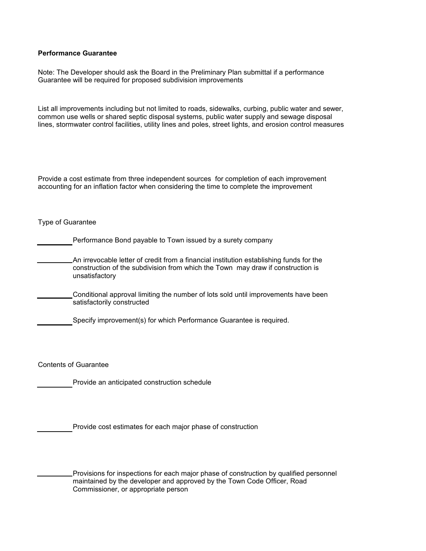## **Performance Guarantee**

Note: The Developer should ask the Board in the Preliminary Plan submittal if a performance Guarantee will be required for proposed subdivision improvements

List all improvements including but not limited to roads, sidewalks, curbing, public water and sewer, common use wells or shared septic disposal systems, public water supply and sewage disposal lines, stormwater control facilities, utility lines and poles, street lights, and erosion control measures

Provide a cost estimate from three independent sources for completion of each improvement accounting for an inflation factor when considering the time to complete the improvement

Type of Guarantee

Performance Bond payable to Town issued by a surety company

An irrevocable letter of credit from a financial institution establishing funds for the construction of the subdivision from which the Town may draw if construction is unsatisfactory

Conditional approval limiting the number of lots sold until improvements have been satisfactorily constructed

Specify improvement(s) for which Performance Guarantee is required.

Contents of Guarantee

Provide an anticipated construction schedule

Provide cost estimates for each major phase of construction

Provisions for inspections for each major phase of construction by qualified personnel maintained by the developer and approved by the Town Code Officer, Road Commissioner, or appropriate person